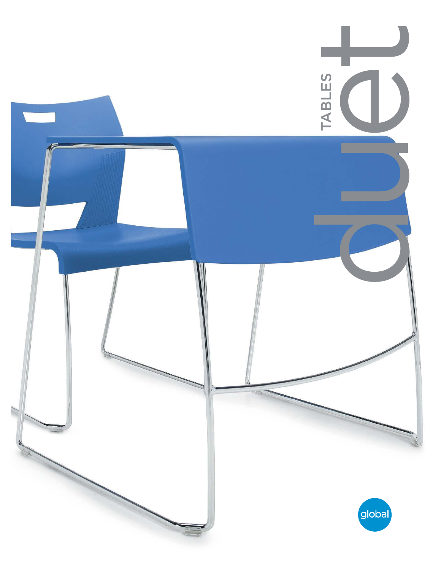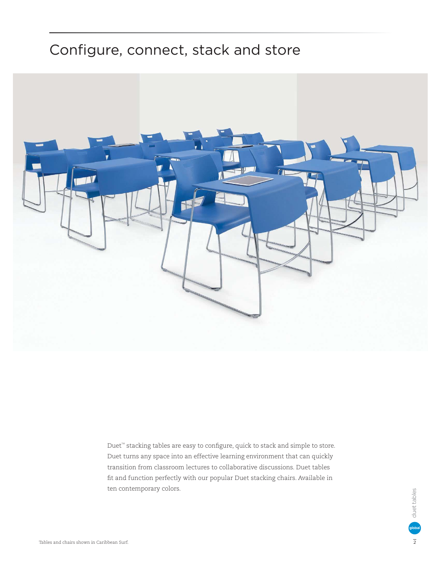## Configure, connect, stack and store



Duet<sup>™</sup> stacking tables are easy to configure, quick to stack and simple to store. Duet turns any space into an effective learning environment that can quickly transition from classroom lectures to collaborative discussions. Duet tables fit and function perfectly with our popular Duet stacking chairs. Available in ten contemporary colors.

duet tables duet tables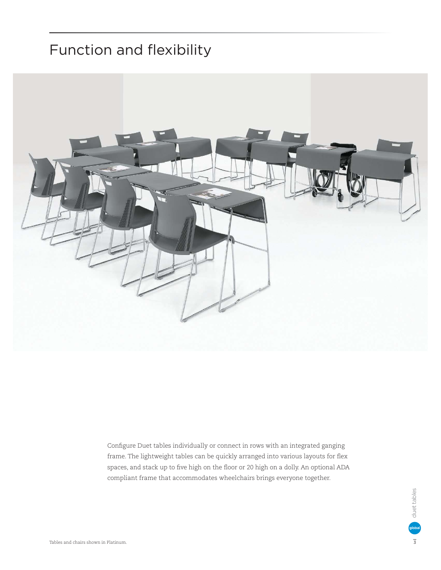## Function and flexibility



Configure Duet tables individually or connect in rows with an integrated ganging frame. The lightweight tables can be quickly arranged into various layouts for flex spaces, and stack up to five high on the floor or 20 high on a dolly. An optional ADA compliant frame that accommodates wheelchairs brings everyone together.

> duet tables duet tables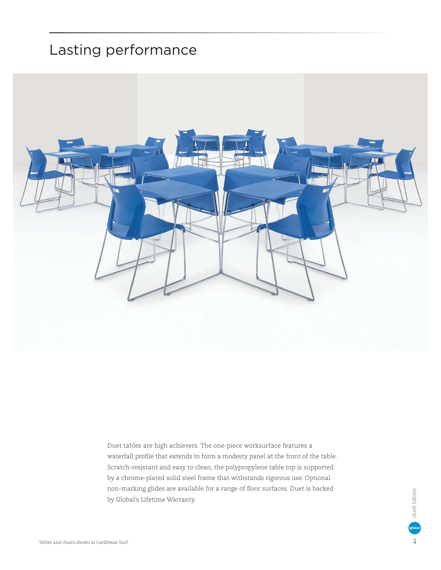## Lasting performance



Duet tables are high achievers. The one-piece worksurface features a waterfall profile that extends to form a modesty panel at the front of the table. Scratch-resistant and easy to clean, the polypropylene table top is supported by a chrome-plated solid steel frame that withstands rigorous use. Optional non-marking glides are available for a range of floor surfaces. Duet is backed by Global's Lifetime Warranty.

duet tables duet tables